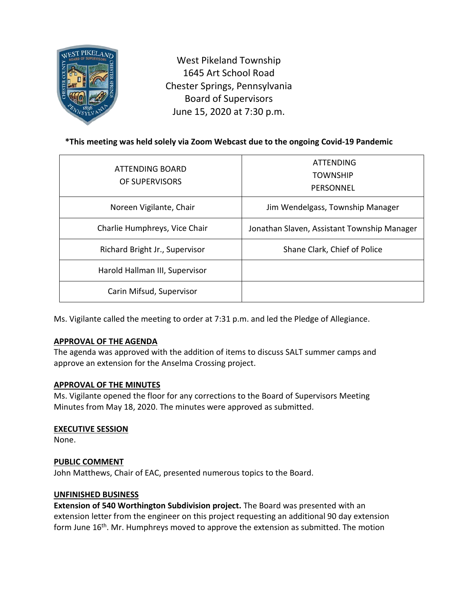

West Pikeland Township 1645 Art School Road Chester Springs, Pennsylvania Board of Supervisors June 15, 2020 at 7:30 p.m.

# **\*This meeting was held solely via Zoom Webcast due to the ongoing Covid-19 Pandemic**

| ATTENDING BOARD<br>OF SUPERVISORS | <b>ATTENDING</b><br><b>TOWNSHIP</b><br>PERSONNEL |
|-----------------------------------|--------------------------------------------------|
| Noreen Vigilante, Chair           | Jim Wendelgass, Township Manager                 |
| Charlie Humphreys, Vice Chair     | Jonathan Slaven, Assistant Township Manager      |
| Richard Bright Jr., Supervisor    | Shane Clark, Chief of Police                     |
| Harold Hallman III, Supervisor    |                                                  |
| Carin Mifsud, Supervisor          |                                                  |

Ms. Vigilante called the meeting to order at 7:31 p.m. and led the Pledge of Allegiance.

## **APPROVAL OF THE AGENDA**

The agenda was approved with the addition of items to discuss SALT summer camps and approve an extension for the Anselma Crossing project.

## **APPROVAL OF THE MINUTES**

Ms. Vigilante opened the floor for any corrections to the Board of Supervisors Meeting Minutes from May 18, 2020. The minutes were approved as submitted.

## **EXECUTIVE SESSION**

None.

## **PUBLIC COMMENT**

John Matthews, Chair of EAC, presented numerous topics to the Board.

## **UNFINISHED BUSINESS**

**Extension of 540 Worthington Subdivision project.** The Board was presented with an extension letter from the engineer on this project requesting an additional 90 day extension form June 16<sup>th</sup>. Mr. Humphreys moved to approve the extension as submitted. The motion